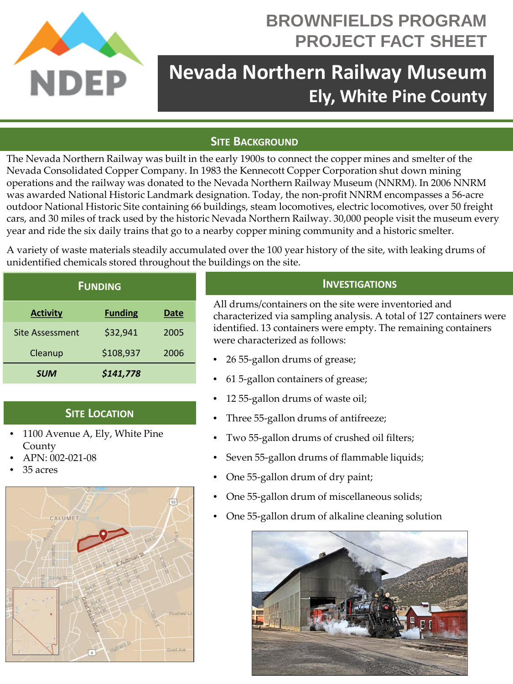

# **BROWNFIELDS PROGRAM PROJECT FACT SHEET**

# **Nevada Northern Railway Museum Ely, White Pine County**

## **SITE BACKGROUND**

The Nevada Northern Railway was built in the early 1900s to connect the copper mines and smelter of the Nevada Consolidated Copper Company. In 1983 the Kennecott Copper Corporation shut down mining operations and the railway was donated to the Nevada Northern Railway Museum (NNRM). In 2006 NNRM was awarded National Historic Landmark designation. Today, the non-profit NNRM encompasses a 56-acre outdoor National Historic Site containing 66 buildings, steam locomotives, electric locomotives, over 50 freight cars, and 30 miles of track used by the historic Nevada Northern Railway. 30,000 people visit the museum every year and ride the six daily trains that go to a nearby copper mining community and a historic smelter.

A variety of waste materials steadily accumulated over the 100 year history of the site, with leaking drums of unidentified chemicals stored throughout the buildings on the site.

| <b>FUNDING</b>  |                |      |
|-----------------|----------------|------|
| <b>Activity</b> | <b>Funding</b> | Date |
| Site Assessment | \$32,941       | 2005 |
| Cleanup         | \$108,937      | 2006 |
| <b>SUM</b>      | \$141,778      |      |

### **SITE LOCATION**

- 1100 Avenue A, Ely, White Pine County
- APN: 002-021-08
- 35 acres



#### **INVESTIGATIONS**

All drums/containers on the site were inventoried and characterized via sampling analysis. A total of 127 containers were identified. 13 containers were empty. The remaining containers were characterized as follows:

- 26 55-gallon drums of grease;
- 61 5-gallon containers of grease;
- 12 55-gallon drums of waste oil;
- Three 55-gallon drums of antifreeze;
- Two 55-gallon drums of crushed oil filters;
- Seven 55-gallon drums of flammable liquids;
- One 55-gallon drum of dry paint;
- One 55-gallon drum of miscellaneous solids;
- One 55-gallon drum of alkaline cleaning solution